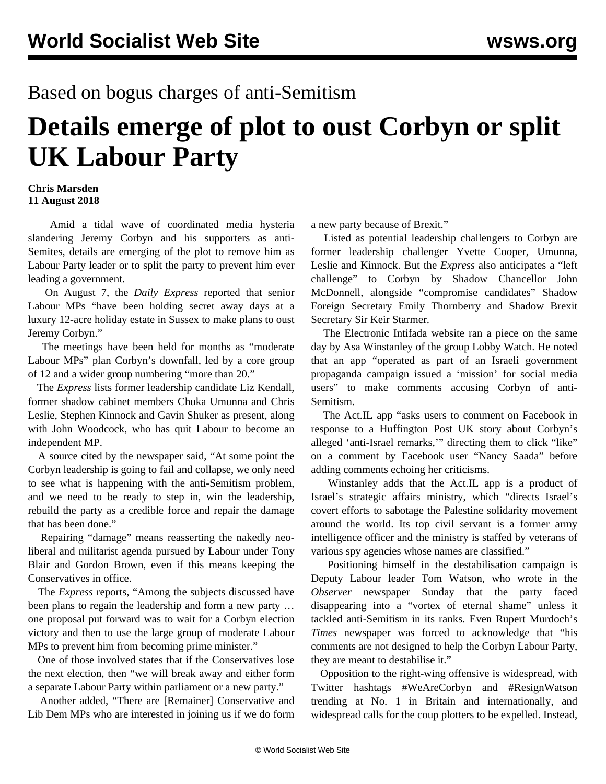## Based on bogus charges of anti-Semitism

## **Details emerge of plot to oust Corbyn or split UK Labour Party**

## **Chris Marsden 11 August 2018**

 Amid a tidal wave of coordinated media hysteria slandering Jeremy Corbyn and his supporters as anti-Semites, details are emerging of the plot to remove him as Labour Party leader or to split the party to prevent him ever leading a government.

 On August 7, the *Daily Express* reported that senior Labour MPs "have been holding secret away days at a luxury 12-acre holiday estate in Sussex to make plans to oust Jeremy Corbyn."

 The meetings have been held for months as "moderate Labour MPs" plan Corbyn's downfall, led by a core group of 12 and a wider group numbering "more than 20."

 The *Express* lists former leadership candidate Liz Kendall, former shadow cabinet members Chuka Umunna and Chris Leslie, Stephen Kinnock and Gavin Shuker as present, along with John Woodcock, who has quit Labour to become an independent MP.

 A source cited by the newspaper said, "At some point the Corbyn leadership is going to fail and collapse, we only need to see what is happening with the anti-Semitism problem, and we need to be ready to step in, win the leadership, rebuild the party as a credible force and repair the damage that has been done."

 Repairing "damage" means reasserting the nakedly neoliberal and militarist agenda pursued by Labour under Tony Blair and Gordon Brown, even if this means keeping the Conservatives in office.

 The *Express* reports, "Among the subjects discussed have been plans to regain the leadership and form a new party … one proposal put forward was to wait for a Corbyn election victory and then to use the large group of moderate Labour MPs to prevent him from becoming prime minister."

 One of those involved states that if the Conservatives lose the next election, then "we will break away and either form a separate Labour Party within parliament or a new party."

 Another added, "There are [Remainer] Conservative and Lib Dem MPs who are interested in joining us if we do form a new party because of Brexit."

 Listed as potential leadership challengers to Corbyn are former leadership challenger Yvette Cooper, Umunna, Leslie and Kinnock. But the *Express* also anticipates a "left challenge" to Corbyn by Shadow Chancellor John McDonnell, alongside "compromise candidates" Shadow Foreign Secretary Emily Thornberry and Shadow Brexit Secretary Sir Keir Starmer.

 The Electronic Intifada website ran a piece on the same day by Asa Winstanley of the group Lobby Watch. He noted that an app "operated as part of an Israeli government propaganda campaign issued a 'mission' for social media users" to make comments accusing Corbyn of anti-Semitism.

 The Act.IL app "asks users to comment on Facebook in response to a Huffington Post UK story about Corbyn's alleged 'anti-Israel remarks,'" directing them to click "like" on a comment by Facebook user "Nancy Saada" before adding comments echoing her criticisms.

 Winstanley adds that the Act.IL app is a product of Israel's strategic affairs ministry, which "directs Israel's covert efforts to sabotage the Palestine solidarity movement around the world. Its top civil servant is a former army intelligence officer and the ministry is staffed by veterans of various spy agencies whose names are classified."

 Positioning himself in the destabilisation campaign is Deputy Labour leader Tom Watson, who wrote in the *Observer* newspaper Sunday that the party faced disappearing into a "vortex of eternal shame" unless it tackled anti-Semitism in its ranks. Even Rupert Murdoch's *Times* newspaper was forced to acknowledge that "his comments are not designed to help the Corbyn Labour Party, they are meant to destabilise it."

 Opposition to the right-wing offensive is widespread, with Twitter hashtags #WeAreCorbyn and #ResignWatson trending at No. 1 in Britain and internationally, and widespread calls for the coup plotters to be expelled. Instead,